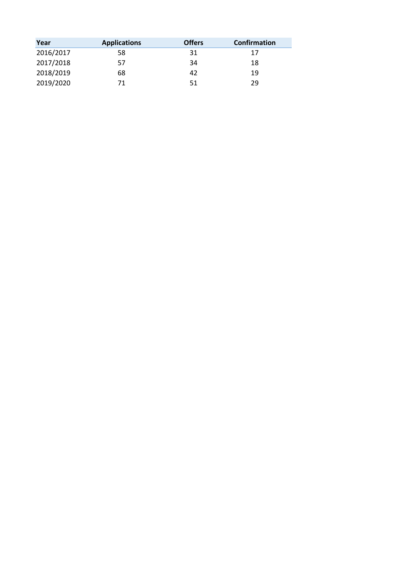| Year      | <b>Applications</b> | <b>Offers</b> | <b>Confirmation</b> |
|-----------|---------------------|---------------|---------------------|
| 2016/2017 | 58                  | 31            | 17                  |
| 2017/2018 | 57                  | 34            | 18                  |
| 2018/2019 | 68                  | 42            | 19                  |
| 2019/2020 | 71                  | 51            | 29                  |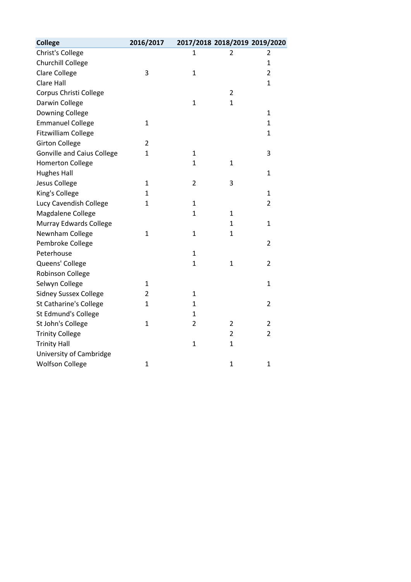| <b>College</b>                    | 2016/2017      |                | 2017/2018 2018/2019 2019/2020 |                |
|-----------------------------------|----------------|----------------|-------------------------------|----------------|
| Christ's College                  |                | 1              | 2                             | 2              |
| Churchill College                 |                |                |                               | $\mathbf{1}$   |
| <b>Clare College</b>              | 3              | $\mathbf{1}$   |                               | $\overline{2}$ |
| Clare Hall                        |                |                |                               | $\mathbf{1}$   |
| Corpus Christi College            |                |                | $\overline{2}$                |                |
| Darwin College                    |                | $\mathbf{1}$   | $\mathbf{1}$                  |                |
| Downing College                   |                |                |                               | $\mathbf{1}$   |
| <b>Emmanuel College</b>           | 1              |                |                               | $\mathbf{1}$   |
| <b>Fitzwilliam College</b>        |                |                |                               | $\mathbf{1}$   |
| <b>Girton College</b>             | $\overline{2}$ |                |                               |                |
| <b>Gonville and Caius College</b> | $\mathbf{1}$   | $\mathbf{1}$   |                               | 3              |
| <b>Homerton College</b>           |                | 1              | 1                             |                |
| <b>Hughes Hall</b>                |                |                |                               | $\mathbf{1}$   |
| Jesus College                     | $\mathbf{1}$   | $\overline{2}$ | 3                             |                |
| King's College                    | 1              |                |                               | $\mathbf{1}$   |
| Lucy Cavendish College            | $\mathbf{1}$   | 1              |                               | $\overline{2}$ |
| Magdalene College                 |                | $\mathbf{1}$   | $\mathbf{1}$                  |                |
| Murray Edwards College            |                |                | $\mathbf 1$                   | $\mathbf{1}$   |
| Newnham College                   | $\mathbf{1}$   | $\mathbf{1}$   | $\mathbf{1}$                  |                |
| Pembroke College                  |                |                |                               | $\overline{2}$ |
| Peterhouse                        |                | $\mathbf{1}$   |                               |                |
| Queens' College                   |                | $\mathbf 1$    | $\mathbf{1}$                  | 2              |
| Robinson College                  |                |                |                               |                |
| Selwyn College                    | $\mathbf{1}$   |                |                               | $\mathbf{1}$   |
| <b>Sidney Sussex College</b>      | 2              | $\mathbf{1}$   |                               |                |
| <b>St Catharine's College</b>     | $\mathbf{1}$   | 1              |                               | $\overline{2}$ |
| St Edmund's College               |                | 1              |                               |                |
| St John's College                 | $\mathbf{1}$   | $\overline{2}$ | $\overline{2}$                | $\overline{2}$ |
| <b>Trinity College</b>            |                |                | $\overline{2}$                | $\overline{2}$ |
| <b>Trinity Hall</b>               |                | $\mathbf{1}$   | $\mathbf 1$                   |                |
| University of Cambridge           |                |                |                               |                |
| <b>Wolfson College</b>            | $\mathbf{1}$   |                | $\mathbf{1}$                  | $\mathbf{1}$   |